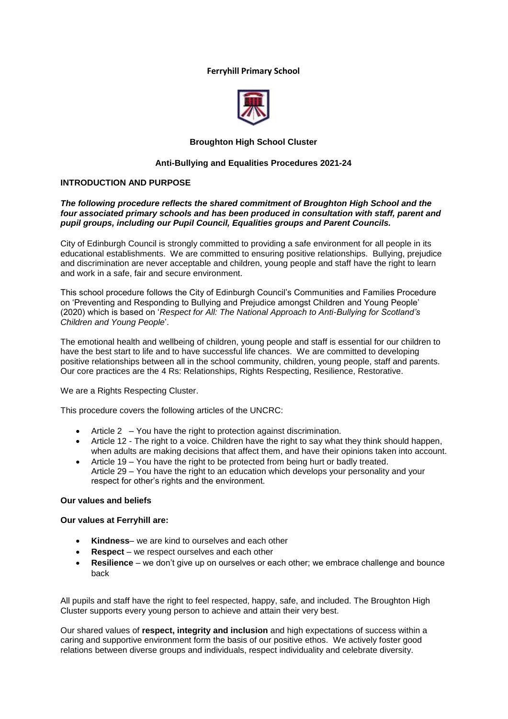## **Ferryhill Primary School**



## **Broughton High School Cluster**

## **Anti-Bullying and Equalities Procedures 2021-24**

## **INTRODUCTION AND PURPOSE**

## *The following procedure reflects the shared commitment of Broughton High School and the four associated primary schools and has been produced in consultation with staff, parent and pupil groups, including our Pupil Council, Equalities groups and Parent Councils.*

City of Edinburgh Council is strongly committed to providing a safe environment for all people in its educational establishments. We are committed to ensuring positive relationships. Bullying, prejudice and discrimination are never acceptable and children, young people and staff have the right to learn and work in a safe, fair and secure environment.

This school procedure follows the City of Edinburgh Council's Communities and Families Procedure on 'Preventing and Responding to Bullying and Prejudice amongst Children and Young People' (2020) which is based on '*Respect for All: The National Approach to Anti-Bullying for Scotland's Children and Young People*'.

The emotional health and wellbeing of children, young people and staff is essential for our children to have the best start to life and to have successful life chances. We are committed to developing positive relationships between all in the school community, children, young people, staff and parents. Our core practices are the 4 Rs: Relationships, Rights Respecting, Resilience, Restorative.

We are a Rights Respecting Cluster.

This procedure covers the following articles of the UNCRC:

- Article 2 You have the right to protection against discrimination.
- Article 12 The right to a voice. Children have the right to say what they think should happen. when adults are making decisions that affect them, and have their opinions taken into account.
- Article 19 You have the right to be protected from being hurt or badly treated. Article 29 – You have the right to an education which develops your personality and your respect for other's rights and the environment.

## **Our values and beliefs**

## **Our values at Ferryhill are:**

- **Kindness** we are kind to ourselves and each other
- **Respect** we respect ourselves and each other
- **Resilience** we don't give up on ourselves or each other; we embrace challenge and bounce back

All pupils and staff have the right to feel respected, happy, safe, and included. The Broughton High Cluster supports every young person to achieve and attain their very best.

Our shared values of **respect, integrity and inclusion** and high expectations of success within a caring and supportive environment form the basis of our positive ethos. We actively foster good relations between diverse groups and individuals, respect individuality and celebrate diversity.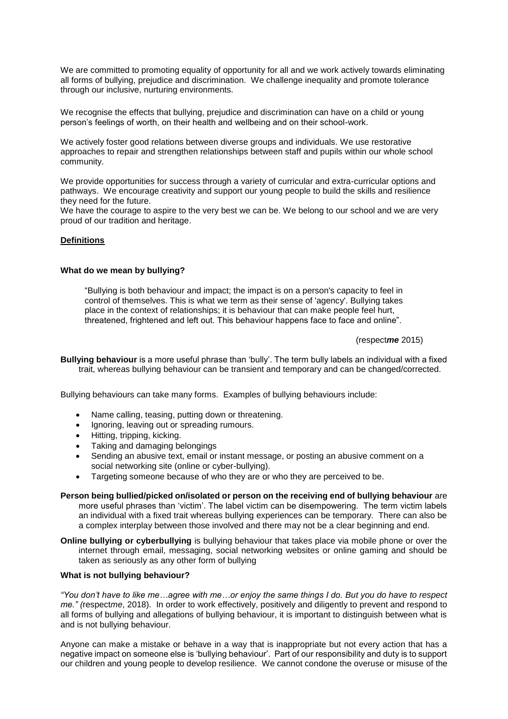We are committed to promoting equality of opportunity for all and we work actively towards eliminating all forms of bullying, prejudice and discrimination. We challenge inequality and promote tolerance through our inclusive, nurturing environments.

We recognise the effects that bullying, prejudice and discrimination can have on a child or young person's feelings of worth, on their health and wellbeing and on their school-work.

We actively foster good relations between diverse groups and individuals. We use restorative approaches to repair and strengthen relationships between staff and pupils within our whole school community.

We provide opportunities for success through a variety of curricular and extra-curricular options and pathways. We encourage creativity and support our young people to build the skills and resilience they need for the future.

We have the courage to aspire to the very best we can be. We belong to our school and we are very proud of our tradition and heritage.

## **Definitions**

## **What do we mean by bullying?**

"Bullying is both behaviour and impact; the impact is on a person's capacity to feel in control of themselves. This is what we term as their sense of 'agency'. Bullying takes place in the context of relationships; it is behaviour that can make people feel hurt, threatened, frightened and left out. This behaviour happens face to face and online".

## (respect*me* 2015)

**Bullying behaviour** is a more useful phrase than 'bully'. The term bully labels an individual with a fixed trait, whereas bullying behaviour can be transient and temporary and can be changed/corrected.

Bullying behaviours can take many forms. Examples of bullying behaviours include:

- Name calling, teasing, putting down or threatening.
- Ignoring, leaving out or spreading rumours.
- Hitting, tripping, kicking.
- Taking and damaging belongings
- Sending an abusive text, email or instant message, or posting an abusive comment on a social networking site (online or cyber-bullying).
- Targeting someone because of who they are or who they are perceived to be.

## **Person being bullied/picked on/isolated or person on the receiving end of bullying behaviour** are more useful phrases than 'victim'. The label victim can be disempowering. The term victim labels an individual with a fixed trait whereas bullying experiences can be temporary. There can also be a complex interplay between those involved and there may not be a clear beginning and end.

**Online bullying or cyberbullying** is bullying behaviour that takes place via mobile phone or over the internet through email, messaging, social networking websites or online gaming and should be taken as seriously as any other form of bullying

## **What is not bullying behaviour?**

*"You don't have to like me…agree with me…or enjoy the same things I do. But you do have to respect me." (*respect*me*, 2018). In order to work effectively, positively and diligently to prevent and respond to all forms of bullying and allegations of bullying behaviour, it is important to distinguish between what is and is not bullying behaviour.

Anyone can make a mistake or behave in a way that is inappropriate but not every action that has a negative impact on someone else is 'bullying behaviour'. Part of our responsibility and duty is to support our children and young people to develop resilience. We cannot condone the overuse or misuse of the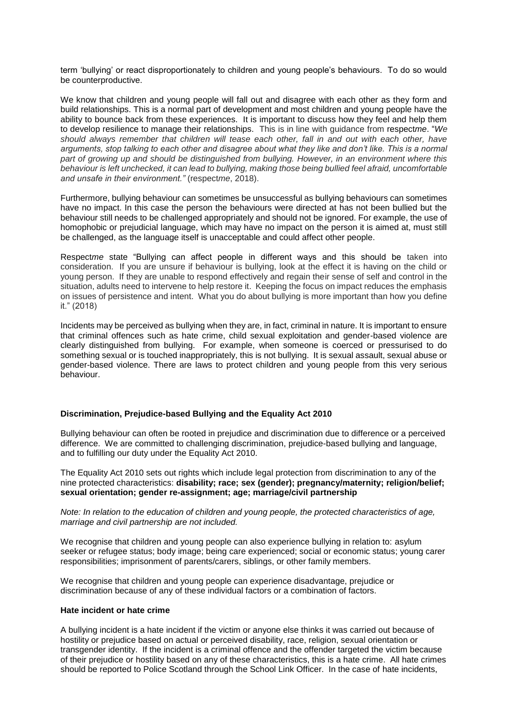term 'bullying' or react disproportionately to children and young people's behaviours. To do so would be counterproductive.

We know that children and young people will fall out and disagree with each other as they form and build relationships. This is a normal part of development and most children and young people have the ability to bounce back from these experiences. It is important to discuss how they feel and help them to develop resilience to manage their relationships. This is in line with guidance from respect*me*. "*We should always remember that children will tease each other, fall in and out with each other, have arguments, stop talking to each other and disagree about what they like and don't like. This is a normal part of growing up and should be distinguished from bullying. However, in an environment where this behaviour is left unchecked, it can lead to bullying, making those being bullied feel afraid, uncomfortable and unsafe in their environment."* (respect*me*, 2018).

Furthermore, bullying behaviour can sometimes be unsuccessful as bullying behaviours can sometimes have no impact. In this case the person the behaviours were directed at has not been bullied but the behaviour still needs to be challenged appropriately and should not be ignored. For example, the use of homophobic or prejudicial language, which may have no impact on the person it is aimed at, must still be challenged, as the language itself is unacceptable and could affect other people.

Respect*me* state "Bullying can affect people in different ways and this should be taken into consideration. If you are unsure if behaviour is bullying, look at the effect it is having on the child or young person. If they are unable to respond effectively and regain their sense of self and control in the situation, adults need to intervene to help restore it. Keeping the focus on impact reduces the emphasis on issues of persistence and intent. What you do about bullying is more important than how you define it." (2018)

Incidents may be perceived as bullying when they are, in fact, criminal in nature. It is important to ensure that criminal offences such as hate crime, child sexual exploitation and gender-based violence are clearly distinguished from bullying. For example, when someone is coerced or pressurised to do something sexual or is touched inappropriately, this is not bullying. It is sexual assault, sexual abuse or gender-based violence. There are laws to protect children and young people from this very serious behaviour.

## **Discrimination, Prejudice-based Bullying and the Equality Act 2010**

Bullying behaviour can often be rooted in prejudice and discrimination due to difference or a perceived difference. We are committed to challenging discrimination, prejudice-based bullying and language, and to fulfilling our duty under the Equality Act 2010.

The Equality Act 2010 sets out rights which include legal protection from discrimination to any of the nine protected characteristics: **disability; race; sex (gender); pregnancy/maternity; religion/belief; sexual orientation; gender re-assignment; age; marriage/civil partnership**

*Note: In relation to the education of children and young people, the protected characteristics of age, marriage and civil partnership are not included.*

We recognise that children and young people can also experience bullying in relation to: asylum seeker or refugee status; body image; being care experienced; social or economic status; young carer responsibilities; imprisonment of parents/carers, siblings, or other family members.

We recognise that children and young people can experience disadvantage, prejudice or discrimination because of any of these individual factors or a combination of factors.

#### **Hate incident or hate crime**

A bullying incident is a hate incident if the victim or anyone else thinks it was carried out because of hostility or prejudice based on actual or perceived disability, race, religion, sexual orientation or transgender identity. If the incident is a criminal offence and the offender targeted the victim because of their prejudice or hostility based on any of these characteristics, this is a hate crime. All hate crimes should be reported to Police Scotland through the School Link Officer. In the case of hate incidents,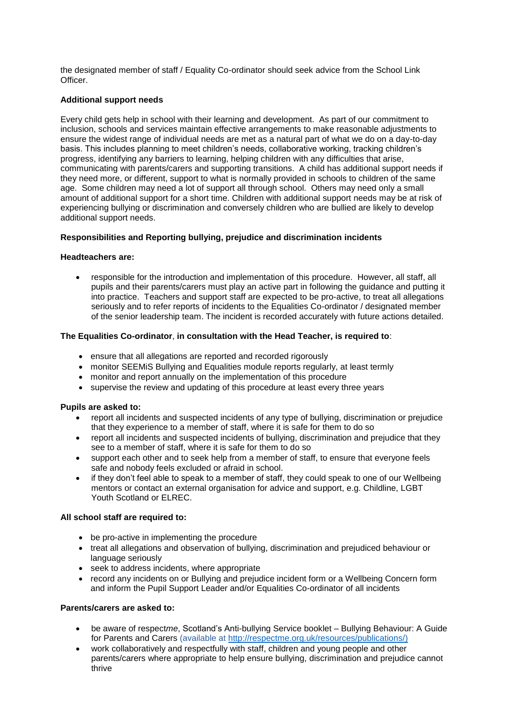the designated member of staff / Equality Co-ordinator should seek advice from the School Link Officer.

## **Additional support needs**

Every child gets help in school with their learning and development. As part of our commitment to inclusion, schools and services maintain effective arrangements to make reasonable adjustments to ensure the widest range of individual needs are met as a natural part of what we do on a day-to-day basis. This includes planning to meet children's needs, collaborative working, tracking children's progress, identifying any barriers to learning, helping children with any difficulties that arise, communicating with parents/carers and supporting transitions. A child has additional support needs if they need more, or different, support to what is normally provided in schools to children of the same age. Some children may need a lot of support all through school. Others may need only a small amount of additional support for a short time. Children with additional support needs may be at risk of experiencing bullying or discrimination and conversely children who are bullied are likely to develop additional support needs.

# **Responsibilities and Reporting bullying, prejudice and discrimination incidents**

# **Headteachers are:**

• responsible for the introduction and implementation of this procedure. However, all staff, all pupils and their parents/carers must play an active part in following the guidance and putting it into practice. Teachers and support staff are expected to be pro-active, to treat all allegations seriously and to refer reports of incidents to the Equalities Co-ordinator / designated member of the senior leadership team. The incident is recorded accurately with future actions detailed.

# **The Equalities Co-ordinator**, **in consultation with the Head Teacher, is required to**:

- ensure that all allegations are reported and recorded rigorously
- monitor SEEMiS Bullying and Equalities module reports regularly, at least termly
- monitor and report annually on the implementation of this procedure
- supervise the review and updating of this procedure at least every three years

## **Pupils are asked to:**

- report all incidents and suspected incidents of any type of bullying, discrimination or prejudice that they experience to a member of staff, where it is safe for them to do so
- report all incidents and suspected incidents of bullying, discrimination and prejudice that they see to a member of staff, where it is safe for them to do so
- support each other and to seek help from a member of staff, to ensure that everyone feels safe and nobody feels excluded or afraid in school.
- if they don't feel able to speak to a member of staff, they could speak to one of our Wellbeing mentors or contact an external organisation for advice and support, e.g. Childline, LGBT Youth Scotland or ELREC.

## **All school staff are required to:**

- be pro-active in implementing the procedure
- treat all allegations and observation of bullying, discrimination and prejudiced behaviour or language seriously
- seek to address incidents, where appropriate
- record any incidents on or Bullying and prejudice incident form or a Wellbeing Concern form and inform the Pupil Support Leader and/or Equalities Co-ordinator of all incidents

## **Parents/carers are asked to:**

- be aware of respect*me*, Scotland's Anti-bullying Service booklet Bullying Behaviour: A Guide for Parents and Carers (available at [http://respectme.org.uk/resources/publications/\)](http://respectme.org.uk/resources/publications/)
- work collaboratively and respectfully with staff, children and young people and other parents/carers where appropriate to help ensure bullying, discrimination and prejudice cannot thrive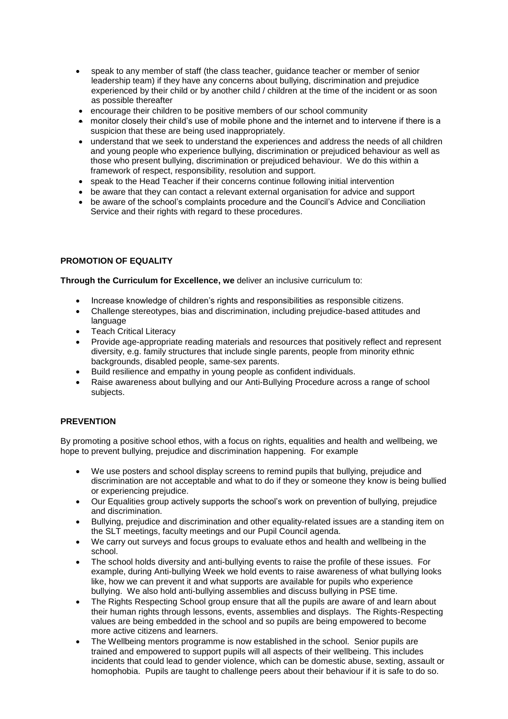- speak to any member of staff (the class teacher, guidance teacher or member of senior leadership team) if they have any concerns about bullying, discrimination and prejudice experienced by their child or by another child / children at the time of the incident or as soon as possible thereafter
- encourage their children to be positive members of our school community
- monitor closely their child's use of mobile phone and the internet and to intervene if there is a suspicion that these are being used inappropriately.
- understand that we seek to understand the experiences and address the needs of all children and young people who experience bullying, discrimination or prejudiced behaviour as well as those who present bullying, discrimination or prejudiced behaviour. We do this within a framework of respect, responsibility, resolution and support.
- speak to the Head Teacher if their concerns continue following initial intervention
- be aware that they can contact a relevant external organisation for advice and support
- be aware of the school's complaints procedure and the Council's Advice and Conciliation Service and their rights with regard to these procedures.

# **PROMOTION OF EQUALITY**

**Through the Curriculum for Excellence, we** deliver an inclusive curriculum to:

- Increase knowledge of children's rights and responsibilities as responsible citizens.
- Challenge stereotypes, bias and discrimination, including prejudice-based attitudes and language
- **Teach Critical Literacy**
- Provide age-appropriate reading materials and resources that positively reflect and represent diversity, e.g. family structures that include single parents, people from minority ethnic backgrounds, disabled people, same-sex parents.
- Build resilience and empathy in young people as confident individuals.
- Raise awareness about bullying and our Anti-Bullying Procedure across a range of school subjects.

## **PREVENTION**

By promoting a positive school ethos, with a focus on rights, equalities and health and wellbeing, we hope to prevent bullying, prejudice and discrimination happening. For example

- We use posters and school display screens to remind pupils that bullying, prejudice and discrimination are not acceptable and what to do if they or someone they know is being bullied or experiencing prejudice.
- Our Equalities group actively supports the school's work on prevention of bullying, prejudice and discrimination.
- Bullying, prejudice and discrimination and other equality-related issues are a standing item on the SLT meetings, faculty meetings and our Pupil Council agenda.
- We carry out surveys and focus groups to evaluate ethos and health and wellbeing in the school.
- The school holds diversity and anti-bullying events to raise the profile of these issues. For example, during Anti-bullying Week we hold events to raise awareness of what bullying looks like, how we can prevent it and what supports are available for pupils who experience bullying. We also hold anti-bullying assemblies and discuss bullying in PSE time.
- The Rights Respecting School group ensure that all the pupils are aware of and learn about their human rights through lessons, events, assemblies and displays. The Rights-Respecting values are being embedded in the school and so pupils are being empowered to become more active citizens and learners.
- The Wellbeing mentors programme is now established in the school. Senior pupils are trained and empowered to support pupils will all aspects of their wellbeing. This includes incidents that could lead to gender violence, which can be domestic abuse, sexting, assault or homophobia. Pupils are taught to challenge peers about their behaviour if it is safe to do so.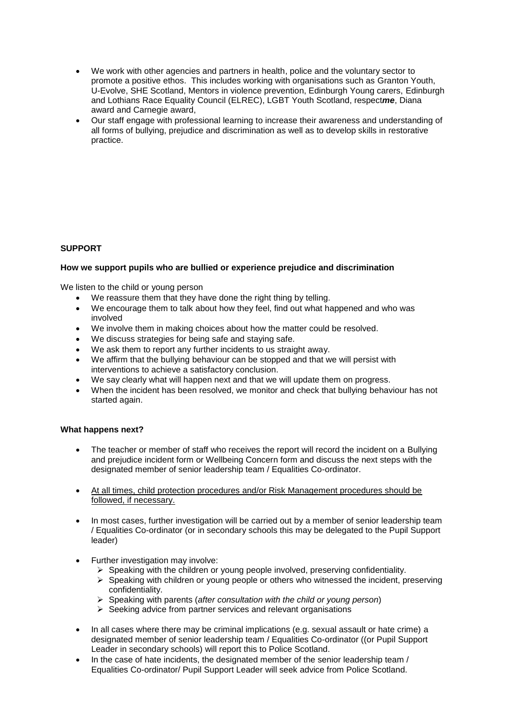- We work with other agencies and partners in health, police and the voluntary sector to promote a positive ethos. This includes working with organisations such as Granton Youth, U-Evolve, SHE Scotland, Mentors in violence prevention, Edinburgh Young carers, Edinburgh and Lothians Race Equality Council (ELREC), LGBT Youth Scotland, respect*me*, Diana award and Carnegie award,
- Our staff engage with professional learning to increase their awareness and understanding of all forms of bullying, prejudice and discrimination as well as to develop skills in restorative practice.

# **SUPPORT**

## **How we support pupils who are bullied or experience prejudice and discrimination**

We listen to the child or young person

- We reassure them that they have done the right thing by telling.
- We encourage them to talk about how they feel, find out what happened and who was involved
- We involve them in making choices about how the matter could be resolved.
- We discuss strategies for being safe and staying safe.
- We ask them to report any further incidents to us straight away.
- We affirm that the bullying behaviour can be stopped and that we will persist with interventions to achieve a satisfactory conclusion.
- We say clearly what will happen next and that we will update them on progress.
- When the incident has been resolved, we monitor and check that bullying behaviour has not started again.

## **What happens next?**

- The teacher or member of staff who receives the report will record the incident on a Bullying and prejudice incident form or Wellbeing Concern form and discuss the next steps with the designated member of senior leadership team / Equalities Co-ordinator.
- At all times, child protection procedures and/or Risk Management procedures should be followed, if necessary.
- In most cases, further investigation will be carried out by a member of senior leadership team / Equalities Co-ordinator (or in secondary schools this may be delegated to the Pupil Support leader)
- Further investigation may involve:
	- ➢ Speaking with the children or young people involved, preserving confidentiality.
	- $\triangleright$  Speaking with children or young people or others who witnessed the incident, preserving confidentiality.
	- ➢ Speaking with parents (*after consultation with the child or young person*)
	- ➢ Seeking advice from partner services and relevant organisations
- In all cases where there may be criminal implications (e.g. sexual assault or hate crime) a designated member of senior leadership team / Equalities Co-ordinator ((or Pupil Support Leader in secondary schools) will report this to Police Scotland.
- In the case of hate incidents, the designated member of the senior leadership team / Equalities Co-ordinator/ Pupil Support Leader will seek advice from Police Scotland.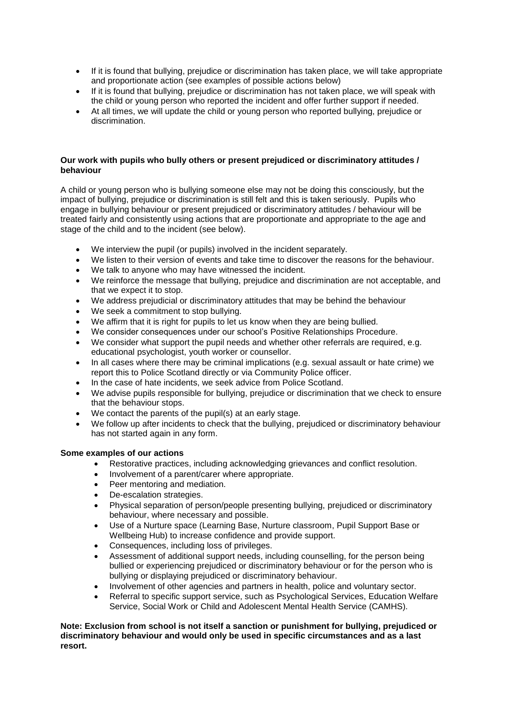- If it is found that bullying, prejudice or discrimination has taken place, we will take appropriate and proportionate action (see examples of possible actions below)
- If it is found that bullying, prejudice or discrimination has not taken place, we will speak with the child or young person who reported the incident and offer further support if needed.
- At all times, we will update the child or young person who reported bullying, prejudice or discrimination.

## **Our work with pupils who bully others or present prejudiced or discriminatory attitudes / behaviour**

A child or young person who is bullying someone else may not be doing this consciously, but the impact of bullying, prejudice or discrimination is still felt and this is taken seriously. Pupils who engage in bullying behaviour or present prejudiced or discriminatory attitudes / behaviour will be treated fairly and consistently using actions that are proportionate and appropriate to the age and stage of the child and to the incident (see below).

- We interview the pupil (or pupils) involved in the incident separately.
- We listen to their version of events and take time to discover the reasons for the behaviour.
- We talk to anyone who may have witnessed the incident.
- We reinforce the message that bullying, prejudice and discrimination are not acceptable, and that we expect it to stop.
- We address prejudicial or discriminatory attitudes that may be behind the behaviour
- We seek a commitment to stop bullying.
- We affirm that it is right for pupils to let us know when they are being bullied.
- We consider consequences under our school's Positive Relationships Procedure.
- We consider what support the pupil needs and whether other referrals are required, e.g. educational psychologist, youth worker or counsellor.
- In all cases where there may be criminal implications (e.g. sexual assault or hate crime) we report this to Police Scotland directly or via Community Police officer.
- In the case of hate incidents, we seek advice from Police Scotland.
- We advise pupils responsible for bullying, prejudice or discrimination that we check to ensure that the behaviour stops.
- We contact the parents of the pupil(s) at an early stage.
- We follow up after incidents to check that the bullying, prejudiced or discriminatory behaviour has not started again in any form.

## **Some examples of our actions**

- Restorative practices, including acknowledging grievances and conflict resolution.
- Involvement of a parent/carer where appropriate.
- Peer mentoring and mediation.
- De-escalation strategies.
- Physical separation of person/people presenting bullying, prejudiced or discriminatory behaviour, where necessary and possible.
- Use of a Nurture space (Learning Base, Nurture classroom, Pupil Support Base or Wellbeing Hub) to increase confidence and provide support.
- Consequences, including loss of privileges.
- Assessment of additional support needs, including counselling, for the person being bullied or experiencing prejudiced or discriminatory behaviour or for the person who is bullying or displaying prejudiced or discriminatory behaviour.
- Involvement of other agencies and partners in health, police and voluntary sector.
- Referral to specific support service, such as Psychological Services, Education Welfare Service, Social Work or Child and Adolescent Mental Health Service (CAMHS).

**Note: Exclusion from school is not itself a sanction or punishment for bullying, prejudiced or discriminatory behaviour and would only be used in specific circumstances and as a last resort.**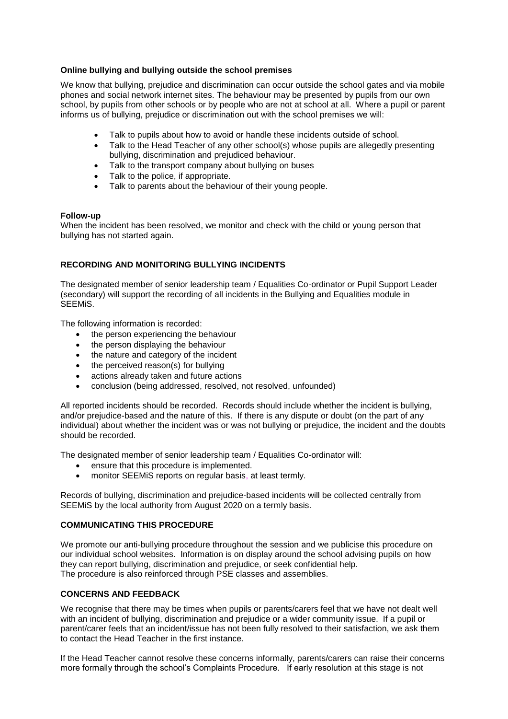## **Online bullying and bullying outside the school premises**

We know that bullying, prejudice and discrimination can occur outside the school gates and via mobile phones and social network internet sites. The behaviour may be presented by pupils from our own school, by pupils from other schools or by people who are not at school at all. Where a pupil or parent informs us of bullying, prejudice or discrimination out with the school premises we will:

- Talk to pupils about how to avoid or handle these incidents outside of school.
- Talk to the Head Teacher of any other school(s) whose pupils are allegedly presenting bullying, discrimination and prejudiced behaviour.
- Talk to the transport company about bullying on buses
- Talk to the police, if appropriate.
- Talk to parents about the behaviour of their young people.

## **Follow-up**

When the incident has been resolved, we monitor and check with the child or young person that bullying has not started again.

## **RECORDING AND MONITORING BULLYING INCIDENTS**

The designated member of senior leadership team / Equalities Co-ordinator or Pupil Support Leader (secondary) will support the recording of all incidents in the Bullying and Equalities module in SEEMiS.

The following information is recorded:

- the person experiencing the behaviour
- the person displaying the behaviour
- the nature and category of the incident
- the perceived reason(s) for bullying
- actions already taken and future actions
- conclusion (being addressed, resolved, not resolved, unfounded)

All reported incidents should be recorded. Records should include whether the incident is bullying, and/or prejudice-based and the nature of this. If there is any dispute or doubt (on the part of any individual) about whether the incident was or was not bullying or prejudice, the incident and the doubts should be recorded.

The designated member of senior leadership team / Equalities Co-ordinator will:

- ensure that this procedure is implemented.
- monitor SEEMiS reports on regular basis, at least termly.

Records of bullying, discrimination and prejudice-based incidents will be collected centrally from SEEMiS by the local authority from August 2020 on a termly basis.

## **COMMUNICATING THIS PROCEDURE**

We promote our anti-bullying procedure throughout the session and we publicise this procedure on our individual school websites. Information is on display around the school advising pupils on how they can report bullying, discrimination and prejudice, or seek confidential help. The procedure is also reinforced through PSE classes and assemblies.

## **CONCERNS AND FEEDBACK**

We recognise that there may be times when pupils or parents/carers feel that we have not dealt well with an incident of bullying, discrimination and prejudice or a wider community issue. If a pupil or parent/carer feels that an incident/issue has not been fully resolved to their satisfaction, we ask them to contact the Head Teacher in the first instance.

If the Head Teacher cannot resolve these concerns informally, parents/carers can raise their concerns more formally through the school's Complaints Procedure. If early resolution at this stage is not